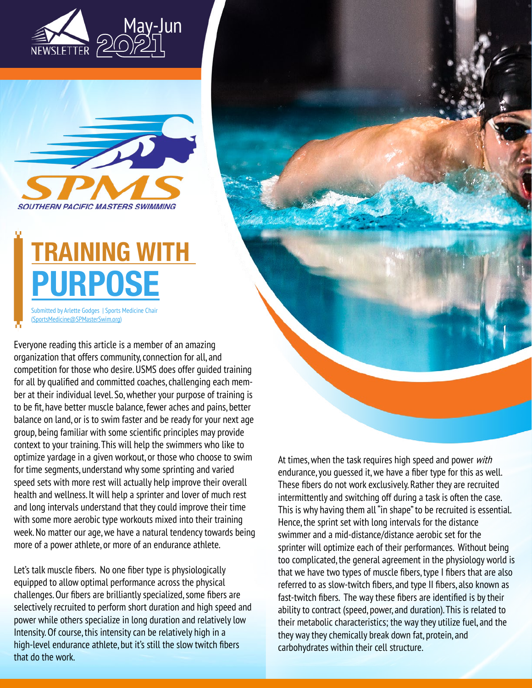



# **TRAINING WITH PURPOSE**

Submitted by Arlette Godges | Sports Medicine Chair ([SportsMedicine@SPMasterSwim.org](mailto:SportsMedicine%40SPMasterSwim.org?subject=))

Everyone reading this article is a member of an amazing organization that offers community, connection for all, and competition for those who desire. USMS does offer guided training for all by qualified and committed coaches, challenging each member at their individual level. So, whether your purpose of training is to be fit, have better muscle balance, fewer aches and pains, better balance on land, or is to swim faster and be ready for your next age group, being familiar with some scientific principles may provide context to your training. This will help the swimmers who like to optimize yardage in a given workout, or those who choose to swim for time segments, understand why some sprinting and varied speed sets with more rest will actually help improve their overall health and wellness. It will help a sprinter and lover of much rest and long intervals understand that they could improve their time with some more aerobic type workouts mixed into their training week. No matter our age, we have a natural tendency towards being more of a power athlete, or more of an endurance athlete.

Let's talk muscle fibers. No one fiber type is physiologically equipped to allow optimal performance across the physical challenges. Our fibers are brilliantly specialized, some fibers are selectively recruited to perform short duration and high speed and power while others specialize in long duration and relatively low Intensity. Of course, this intensity can be relatively high in a high-level endurance athlete, but it's still the slow twitch fibers that do the work.

At times, when the task requires high speed and power with endurance, you guessed it, we have a fiber type for this as well. These fibers do not work exclusively. Rather they are recruited intermittently and switching off during a task is often the case. This is why having them all "in shape" to be recruited is essential. Hence, the sprint set with long intervals for the distance swimmer and a mid-distance/distance aerobic set for the sprinter will optimize each of their performances. Without being too complicated, the general agreement in the physiology world is that we have two types of muscle fibers, type I fibers that are also referred to as slow-twitch fibers, and type II fibers, also known as fast-twitch fibers. The way these fibers are identified is by their ability to contract (speed, power, and duration). This is related to their metabolic characteristics; the way they utilize fuel, and the they way they chemically break down fat, protein, and carbohydrates within their cell structure.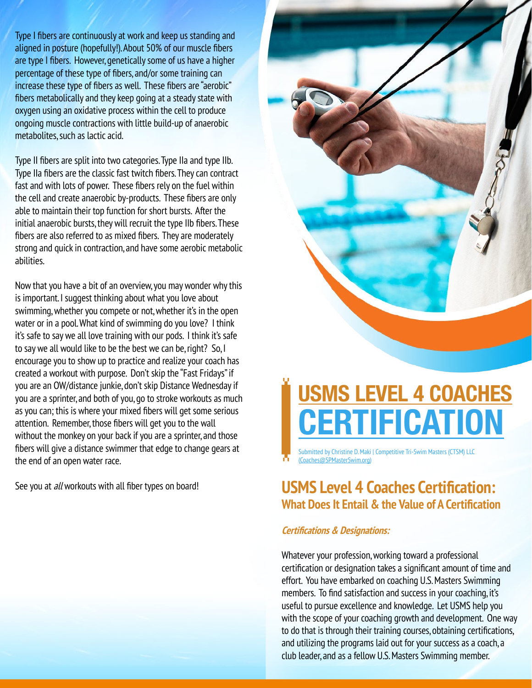Type I fibers are continuously at work and keep us standing and aligned in posture (hopefully!). About 50% of our muscle fibers are type I fibers. However, genetically some of us have a higher percentage of these type of fibers, and/or some training can increase these type of fibers as well. These fibers are "aerobic" fibers metabolically and they keep going at a steady state with oxygen using an oxidative process within the cell to produce ongoing muscle contractions with little build-up of anaerobic metabolites, such as lactic acid.

Type II fibers are split into two categories. Type IIa and type IIb. Type IIa fibers are the classic fast twitch fibers. They can contract fast and with lots of power. These fibers rely on the fuel within the cell and create anaerobic by-products. These fibers are only able to maintain their top function for short bursts. After the initial anaerobic bursts, they will recruit the type IIb fibers. These fibers are also referred to as mixed fibers. They are moderately strong and quick in contraction, and have some aerobic metabolic abilities.

Now that you have a bit of an overview, you may wonder why this is important. I suggest thinking about what you love about swimming, whether you compete or not, whether it's in the open water or in a pool. What kind of swimming do you love? I think it's safe to say we all love training with our pods. I think it's safe to say we all would like to be the best we can be, right? So, I encourage you to show up to practice and realize your coach has created a workout with purpose. Don't skip the "Fast Fridays" if you are an OW/distance junkie, don't skip Distance Wednesday if you are a sprinter, and both of you, go to stroke workouts as much as you can; this is where your mixed fibers will get some serious attention. Remember, those fibers will get you to the wall without the monkey on your back if you are a sprinter, and those fibers will give a distance swimmer that edge to change gears at the end of an open water race.



## **USMS LEVEL 4 COACHES CERTIFICATION**

Submitted by Christine D. Maki | Competitive Tri-Swim Masters (CTSM) LLC ([Coaches@SPMasterSwim.org\)](mailto:Coaches%40SPMasterSwim.org?subject=)

#### See you at all workouts with all fiber types on board! **USMS Level 4 Coaches Certification: What Does It Entail & the Value of A Certification**

#### **Certifications & Designations:**

Whatever your profession, working toward a professional certification or designation takes a significant amount of time and effort. You have embarked on coaching U.S. Masters Swimming members. To find satisfaction and success in your coaching, it's useful to pursue excellence and knowledge. Let USMS help you with the scope of your coaching growth and development. One way to do that is through their training courses, obtaining certifications, and utilizing the programs laid out for your success as a coach, a club leader, and as a fellow U.S. Masters Swimming member.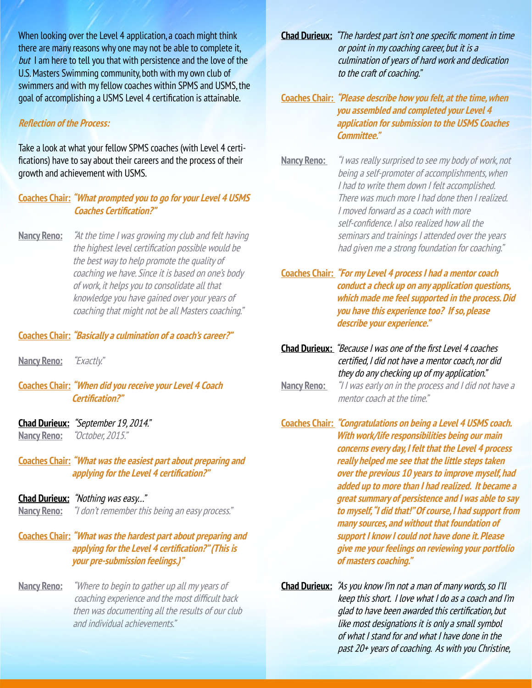When looking over the Level 4 application, a coach might think there are many reasons why one may not be able to complete it, but I am here to tell you that with persistence and the love of the U.S. Masters Swimming community, both with my own club of swimmers and with my fellow coaches within SPMS and USMS, the goal of accomplishing a USMS Level 4 certification is attainable.

#### **Reflection of the Process:**

Take a look at what your fellow SPMS coaches (with Level 4 certifications) have to say about their careers and the process of their growth and achievement with USMS.

#### **Coaches Chair: "What prompted you to go for your Level 4 USMS Coaches Certification?"**

**Nancy Reno:** "At the time I was growing my club and felt having the highest level certification possible would be the best way to help promote the quality of coaching we have. Since it is based on one's body of work, it helps you to consolidate all that knowledge you have gained over your years of coaching that might not be all Masters coaching."

#### **Coaches Chair: "Basically a culmination of a coach's career?"**

**Nancy Reno:** "Exactly."

**Coaches Chair: "When did you receive your Level 4 Coach Certification?"**

- **Chad Durieux:** "September 19, 2014." **Nancy Reno:** "October, 2015."
- **Coaches Chair: "What was the easiest part about preparing and applying for the Level 4 certification?"**
- **Chad Durieux:** "Nothing was easy…"

**Nancy Reno:** "I don't remember this being an easy process."

#### **Coaches Chair: "What was the hardest part about preparing and applying for the Level 4 certification?" (This is your pre-submission feelings.)"**

**Nancy Reno:** "Where to begin to gather up all my years of coaching experience and the most difficult back then was documenting all the results of our club and individual achievements."

- **Chad Durieux:** "The hardest part isn't one specific moment in time or point in my coaching career, but it is a culmination of years of hard work and dedication to the craft of coaching."
- **Coaches Chair: "Please describe how you felt, at the time, when you assembled and completed your Level 4 application for submission to the USMS Coaches Committee."**
- **Nancy Reno:** "I was really surprised to see my body of work, not being a self-promoter of accomplishments, when I had to write them down I felt accomplished. There was much more I had done then I realized. I moved forward as a coach with more self-confidence. I also realized how all the seminars and trainings I attended over the years had given me a strong foundation for coaching."
- **Coaches Chair: "For my Level 4 process I had a mentor coach conduct a check up on any application questions, which made me feel supported in the process. Did you have this experience too? If so, please describe your experience."**
- **Chad Durieux:** "Because I was one of the first Level 4 coaches certified, I did not have a mentor coach, nor did they do any checking up of my application."
- **Nancy Reno:** "I I was early on in the process and I did not have a mentor coach at the time."

**Coaches Chair: "Congratulations on being a Level 4 USMS coach. With work/life responsibilities being our main concerns every day, I felt that the Level 4 process really helped me see that the little steps taken over the previous 10 years to improve myself, had added up to more than I had realized. It became a great summary of persistence and I was able to say to myself, "I did that!" Of course, I had support from many sources, and without that foundation of support I know I could not have done it. Please give me your feelings on reviewing your portfolio of masters coaching."**

**Chad Durieux:** "As you know I'm not a man of many words, so I'll keep this short. I love what I do as a coach and I'm glad to have been awarded this certification, but like most designations it is only a small symbol of what I stand for and what I have done in the past 20+ years of coaching. As with you Christine,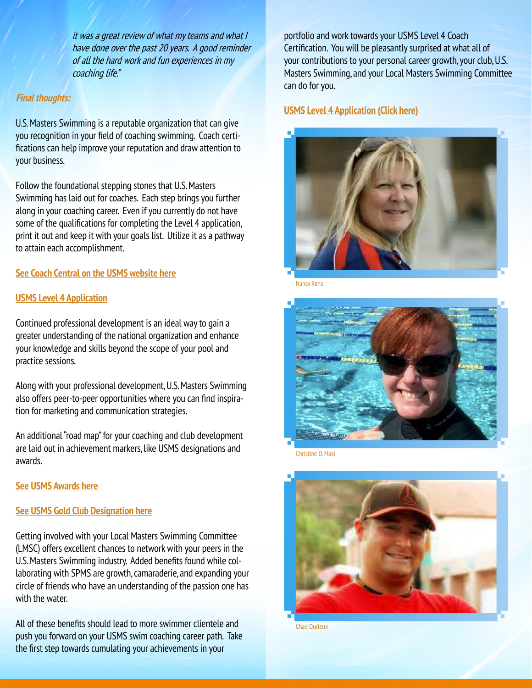it was a great review of what my teams and what I have done over the past 20 years. A good reminder of all the hard work and fun experiences in my coaching life."

#### **Final thoughts:**

U.S. Masters Swimming is a reputable organization that can give you recognition in your field of coaching swimming. Coach certifications can help improve your reputation and draw attention to your business.

Follow the foundational stepping stones that U.S. Masters Swimming has laid out for coaches. Each step brings you further along in your coaching career. Even if you currently do not have some of the qualifications for completing the Level 4 application, print it out and keep it with your goals list. Utilize it as a pathway to attain each accomplishment.

#### **[See Coach Central on the USMS website here](https://www.usms.org/coach-central)**

#### **[USMS Level 4 Application](https://www.usms.org/-/media/usms/pdfs/coaches/level%204%20application%2011819.pdf)**

Continued professional development is an ideal way to gain a greater understanding of the national organization and enhance your knowledge and skills beyond the scope of your pool and practice sessions.

Along with your professional development, U.S. Masters Swimming also offers peer-to-peer opportunities where you can find inspiration for marketing and communication strategies.

An additional "road map" for your coaching and club development are laid out in achievement markers, like USMS designations and awards.

#### **[See USMS Awards here](https://www.usms.org/volunteer-central/awards)**

#### **[See USMS Gold Club Designation here](https://www.usms.org/club-central/gold-club-designation)**

Getting involved with your Local Masters Swimming Committee (LMSC) offers excellent chances to network with your peers in the U.S. Masters Swimming industry. Added benefits found while collaborating with SPMS are growth, camaraderie, and expanding your circle of friends who have an understanding of the passion one has with the water.

All of these benefits should lead to more swimmer clientele and push you forward on your USMS swim coaching career path. Take the first step towards cumulating your achievements in your

portfolio and work towards your USMS Level 4 Coach Certification. You will be pleasantly surprised at what all of your contributions to your personal career growth, your club, U.S. Masters Swimming, and your Local Masters Swimming Committee can do for you.

#### **[USMS Level 4 Application](https://www.usms.org/-/media/usms/pdfs/coaches/level%204%20application%2011819.pdf) (Click here)**



Nancy Reno



Christine D. Maki



Chad Durieux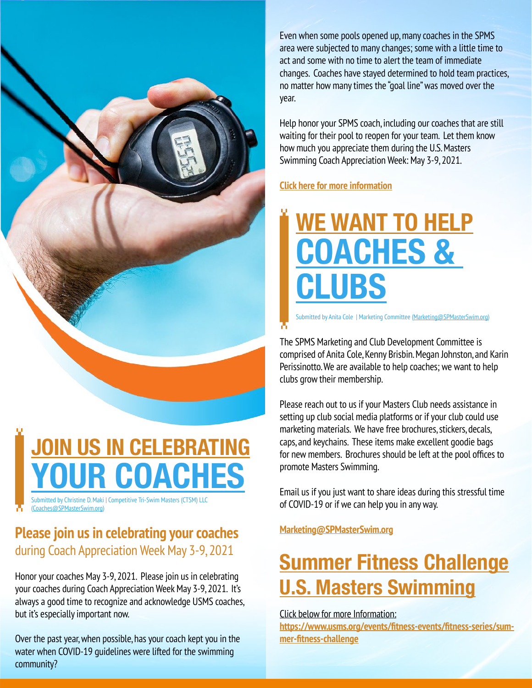

Submitted by Christine D. Maki | Competitive Tri-Swim Masters (CTSM) LLC **JOIN US IN CELEBRATING** *<u>OUR COACHES</u>* 

([Coaches@SPMasterSwim.org](mailto:Coaches%40SPMasterSwim.org?subject=))

### **Please join us in celebrating your coaches**  during Coach Appreciation Week May 3-9, 2021

Honor your coaches May 3-9, 2021. Please join us in celebrating your coaches during Coach Appreciation Week May 3-9, 2021. It's always a good time to recognize and acknowledge USMS coaches, but it's especially important now.

Over the past year, when possible, has your coach kept you in the water when COVID-19 guidelines were lifted for the swimming community?

Even when some pools opened up, many coaches in the SPMS area were subjected to many changes; some with a little time to act and some with no time to alert the team of immediate changes. Coaches have stayed determined to hold team practices, no matter how many times the "goal line" was moved over the year.

Help honor your SPMS coach, including our coaches that are still waiting for their pool to reopen for your team. Let them know how much you appreciate them during the U.S. Masters Swimming Coach Appreciation Week: May 3-9, 2021.

#### **[Click here for more information](https://www.usms.org/coach-central/coach-appreciation-week#:~:text=Honor%20your%20coaches%20May%203,May%203%2D9%2C%202021.&text=It)**

# **WE WANT TO HELP COACHES & CLUBS**

Submitted by Anita Cole | Marketing Committee [\(Marketing@SPMasterSwim.org\)](mailto:Marketing%40SPMasterSwim.org?subject=)

The SPMS Marketing and Club Development Committee is comprised of Anita Cole, Kenny Brisbin. Megan Johnston, and Karin Perissinotto. We are available to help coaches; we want to help clubs grow their membership.

Please reach out to us if your Masters Club needs assistance in setting up club social media platforms or if your club could use marketing materials. We have free brochures, stickers, decals, caps, and keychains. These items make excellent goodie bags for new members. Brochures should be left at the pool offices to promote Masters Swimming.

Email us if you just want to share ideas during this stressful time of COVID-19 or if we can help you in any way.

**[Marketing@SPMasterSwim.org](mailto:Marketing%40SPMasterSwim.org%20?subject=)**

### **Summer Fitness Challenge U.S. Masters Swimming**

[Click below for more Information:](https://www.usms.org/events/fitness-events/fitness-series/summer-fitness-challenge)

**[https://www.usms.org/events/fitness-events/fitness-series/sum](https://www.usms.org/events/fitness-events/fitness-series/summer-fitness-challenge)[mer-fitness-challenge](https://www.usms.org/events/fitness-events/fitness-series/summer-fitness-challenge)**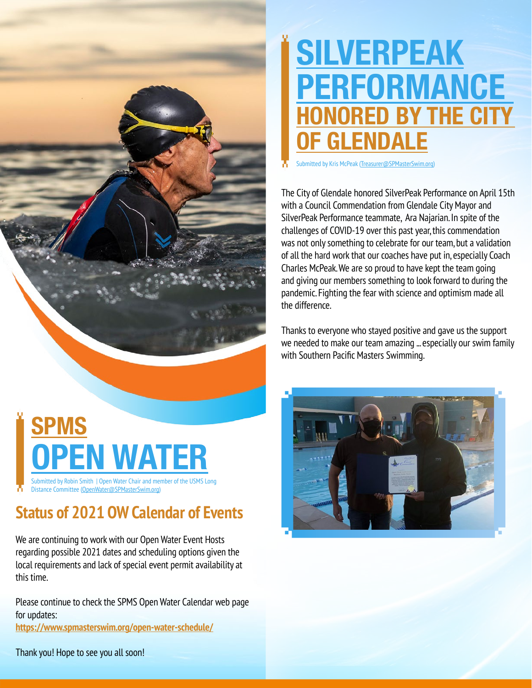## **SILVERPEAK PERFORMANCE HONORED BY THE CITY OF GLENDALE**

Submitted by Kris McPeak [\(Treasurer@SPMasterSwim.org\)](mailto:Treasurer%40SPMasterSwim.org?subject=)

The City of Glendale honored SilverPeak Performance on April 15th with a Council Commendation from Glendale City Mayor and SilverPeak Performance teammate, Ara Najarian. In spite of the challenges of COVID-19 over this past year, this commendation was not only something to celebrate for our team, but a validation of all the hard work that our coaches have put in, especially Coach Charles McPeak. We are so proud to have kept the team going and giving our members something to look forward to during the pandemic. Fighting the fear with science and optimism made all the difference.

Thanks to everyone who stayed positive and gave us the support we needed to make our team amazing ... especially our swim family with Southern Pacific Masters Swimming.

### Submitted by Robin Smith | Open Water Chair and member of the USMS Long **SPMS V** WATE

Distance Committee ([OpenWater@SPMasterSwim.org](mailto:OpenWater%40SPMasterSwim.org?subject=))

### **Status of 2021 OW Calendar of Events**

We are continuing to work with our Open Water Event Hosts regarding possible 2021 dates and scheduling options given the local requirements and lack of special event permit availability at this time.

Please continue to check the SPMS Open Water Calendar web page for updates: **<https://www.spmasterswim.org/open-water-schedule/>**



Thank you! Hope to see you all soon!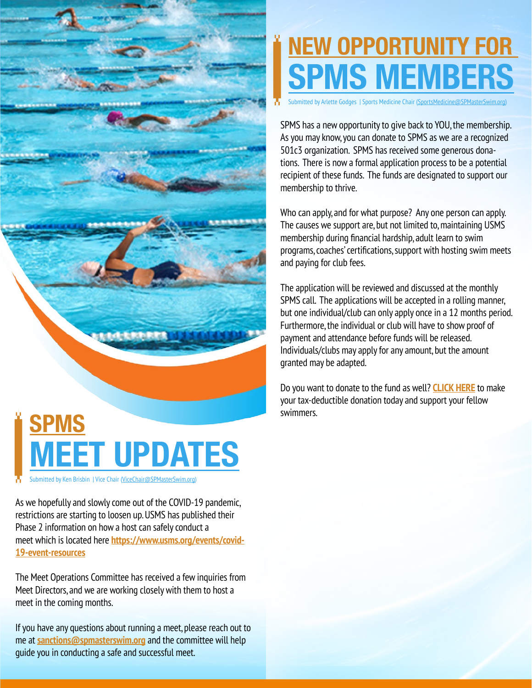

# **NEW OPPORTUNITY FOR SPMS MEMBER**

Submitted by Arlette Godges | Sports Medicine Chair [\(SportsMedicine@SPMasterSwim.org\)](mailto:SportsMedicine%40SPMasterSwim.org?subject=)

SPMS has a new opportunity to give back to YOU, the membership. As you may know, you can donate to SPMS as we are a recognized 501c3 organization. SPMS has received some generous donations. There is now a formal application process to be a potential recipient of these funds. The funds are designated to support our membership to thrive.

Who can apply, and for what purpose? Any one person can apply. The causes we support are, but not limited to, maintaining USMS membership during financial hardship, adult learn to swim programs, coaches' certifications, support with hosting swim meets and paying for club fees.

The application will be reviewed and discussed at the monthly SPMS call. The applications will be accepted in a rolling manner, but one individual/club can only apply once in a 12 months period. Furthermore, the individual or club will have to show proof of payment and attendance before funds will be released. Individuals/clubs may apply for any amount, but the amount granted may be adapted.

Do you want to donate to the fund as well? **[CLICK HERE](https://www.spmasterswim.org/page.cfm?pagetitle=Donate)** to make your tax-deductible donation today and support your fellow swimmers.

As we hopefully and slowly come out of the COVID-19 pandemic, restrictions are starting to loosen up. USMS has published their Phase 2 information on how a host can safely conduct a meet which is located here **[https://www.usms.org/events/covid-](https://www.usms.org/events/covid-19-event-resources)[19-event-resources](https://www.usms.org/events/covid-19-event-resources)**

Submitted by Ken Brisbin | Vice Chair ([ViceChair@SPMasterSwim.org](mailto:ViceChair%40SPMasterSwim.org?subject=))

The Meet Operations Committee has received a few inquiries from Meet Directors, and we are working closely with them to host a meet in the coming months.

If you have any questions about running a meet, please reach out to me at **[sanctions@spmasterswim.org](mailto:sanctions%40spmasterswim.org?subject=)** and the committee will help guide you in conducting a safe and successful meet.